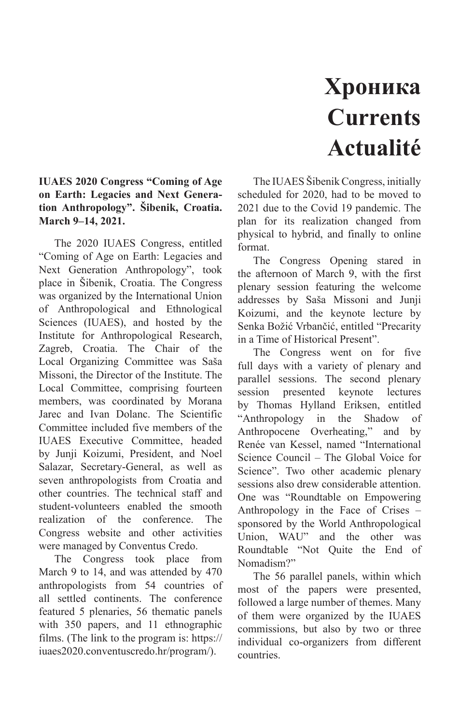## **Хроника Currents Actualité**

## **IUAES 2020 Congress "Coming of Age on Earth: Legacies and Next Generation Anthropology". Šibenik, Croatia. March 9–14, 2021.**

The 2020 IUAES Congress, entitled "Coming of Age on Earth: Legacies and Next Generation Anthropology", took place in Šibenik, Croatia. The Congress was organized by the International Union of Anthropological and Ethnological Sciences (IUAES), and hosted by the Institute for Anthropological Research, Zagreb, Croatia. The Chair of the Local Organizing Committee was Saša Missoni, the Director of the Institute. The Local Committee, comprising fourteen members, was coordinated by Morana Jarec and Ivan Dolanc. The Scientific Committee included five members of the IUAES Executive Committee, headed by Junji Koizumi, President, and Noel Salazar, Secretary-General, as well as seven anthropologists from Croatia and other countries. The technical staff and student-volunteers enabled the smooth realization of the conference. The Congress website and other activities were managed by Conventus Credo.

The Congress took place from March 9 to 14, and was attended by 470 anthropologists from 54 countries of all settled continents. The conference featured 5 plenaries, 56 thematic panels with 350 papers, and 11 ethnographic films. (The link to the program is: https:// iuaes2020.conventuscredo.hr/program/).

The IUAES Šibenik Congress, initially scheduled for 2020, had to be moved to 2021 due to the Covid 19 pandemic. The plan for its realization changed from physical to hybrid, and finally to online format.

The Congress Opening stared in the afternoon of March 9, with the first plenary session featuring the welcome addresses by Saša Missoni and Junji Koizumi, and the keynote lecture by Senka Božić Vrbančić, entitled "Precarity in a Time of Historical Present".

The Congress went on for five full days with a variety of plenary and parallel sessions. The second plenary session presented keynote lectures by Thomas Hylland Eriksen, entitled "Anthropology in the Shadow of Anthropocene Overheating," and by Renée van Kessel, named "International Science Council – The Global Voice for Science". Two other academic plenary sessions also drew considerable attention. One was "Roundtable on Empowering Anthropology in the Face of Crises – sponsored by the World Anthropological Union, WAU" and the other was Roundtable "Not Quite the End of Nomadism?"

The 56 parallel panels, within which most of the papers were presented, followed a large number of themes. Many of them were organized by the IUAES commissions, but also by two or three individual co-organizers from different countries.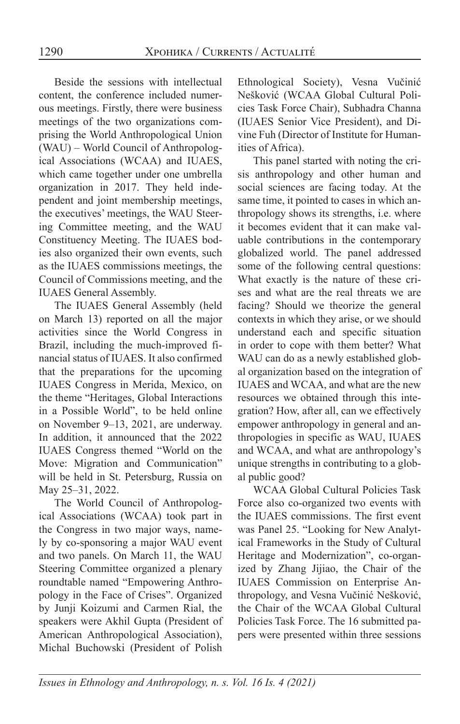Beside the sessions with intellectual content, the conference included numerous meetings. Firstly, there were business meetings of the two organizations comprising the World Anthropological Union (WAU) – World Council of Anthropological Associations (WCAA) and IUAES, which came together under one umbrella organization in 2017. They held independent and joint membership meetings, the executives' meetings, the WAU Steering Committee meeting, and the WAU Constituency Meeting. The IUAES bodies also organized their own events, such as the IUAES commissions meetings, the Council of Commissions meeting, and the IUAES General Assembly.

The IUAES General Assembly (held on March 13) reported on all the major activities since the World Congress in Brazil, including the much-improved financial status of IUAES. It also confirmed that the preparations for the upcoming IUAES Congress in Merida, Mexico, on the theme "Heritages, Global Interactions in a Possible World", to be held online on November 9–13, 2021, are underway. In addition, it announced that the 2022 IUAES Congress themed "World on the Move: Migration and Communication" will be held in St. Petersburg, Russia on May 25–31, 2022.

The World Council of Anthropological Associations (WCAA) took part in the Congress in two major ways, namely by co-sponsoring a major WAU event and two panels. On March 11, the WAU Steering Committee organized a plenary roundtable named "Empowering Anthropology in the Face of Crises". Organized by Junji Koizumi and Carmen Rial, the speakers were Akhil Gupta (President of American Anthropological Association), Michal Buchowski (President of Polish Ethnological Society), Vesna Vučinić Nešković (WCAA Global Cultural Policies Task Force Chair), Subhadra Channa (IUAES Senior Vice President), and Divine Fuh (Director of Institute for Humanities of Africa).

This panel started with noting the crisis anthropology and other human and social sciences are facing today. At the same time, it pointed to cases in which anthropology shows its strengths, i.e. where it becomes evident that it can make valuable contributions in the contemporary globalized world. The panel addressed some of the following central questions: What exactly is the nature of these crises and what are the real threats we are facing? Should we theorize the general contexts in which they arise, or we should understand each and specific situation in order to cope with them better? What WAU can do as a newly established global organization based on the integration of IUAES and WCAA, and what are the new resources we obtained through this integration? How, after all, can we effectively empower anthropology in general and anthropologies in specific as WAU, IUAES and WCAA, and what are anthropology's unique strengths in contributing to a global public good?

WCAA Global Cultural Policies Task Force also co-organized two events with the IUAES commissions. The first event was Panel 25. "Looking for New Analytical Frameworks in the Study of Cultural Heritage and Modernization", co-organized by Zhang Jijiao, the Chair of the IUAES Commission on Enterprise Anthropology, and Vesna Vučinić Nešković, the Chair of the WCAA Global Cultural Policies Task Force. The 16 submitted papers were presented within three sessions